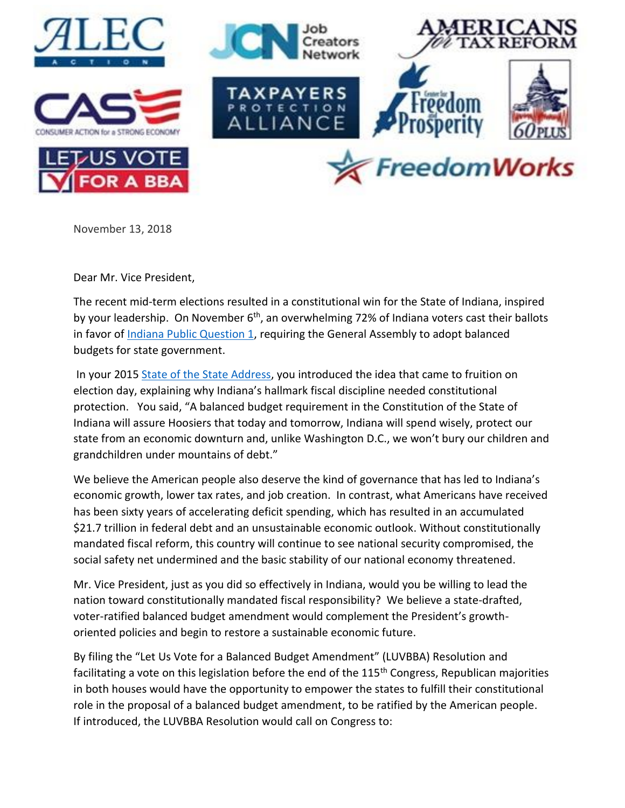

November 13, 2018

Dear Mr. Vice President,

The recent mid-term elections resulted in a constitutional win for the State of Indiana, inspired by your leadership. On November 6<sup>th</sup>, an overwhelming 72% of Indiana voters cast their ballots in favor of **Indiana Public Question 1**, requiring the General Assembly to adopt balanced budgets for state government.

In your 2015 [State of the State Address,](https://www.wthr.com/article/gov-mike-pence-2015-state-of-the-state-address) you introduced the idea that came to fruition on election day, explaining why Indiana's hallmark fiscal discipline needed constitutional protection. You said, "A balanced budget requirement in the Constitution of the State of Indiana will assure Hoosiers that today and tomorrow, Indiana will spend wisely, protect our state from an economic downturn and, unlike Washington D.C., we won't bury our children and grandchildren under mountains of debt."

We believe the American people also deserve the kind of governance that has led to Indiana's economic growth, lower tax rates, and job creation. In contrast, what Americans have received has been sixty years of accelerating deficit spending, which has resulted in an accumulated \$21.7 trillion in federal debt and an unsustainable economic outlook. Without constitutionally mandated fiscal reform, this country will continue to see national security compromised, the social safety net undermined and the basic stability of our national economy threatened.

Mr. Vice President, just as you did so effectively in Indiana, would you be willing to lead the nation toward constitutionally mandated fiscal responsibility? We believe a state-drafted, voter-ratified balanced budget amendment would complement the President's growthoriented policies and begin to restore a sustainable economic future.

By filing the "Let Us Vote for a Balanced Budget Amendment" (LUVBBA) Resolution and facilitating a vote on this legislation before the end of the 115<sup>th</sup> Congress, Republican majorities in both houses would have the opportunity to empower the states to fulfill their constitutional role in the proposal of a balanced budget amendment, to be ratified by the American people. If introduced, the LUVBBA Resolution would call on Congress to: